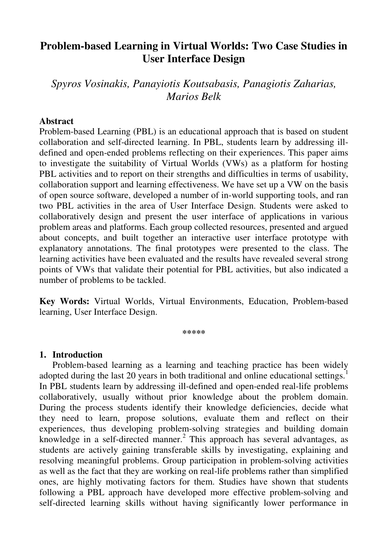# **Problem-based Learning in Virtual Worlds: Two Case Studies in User Interface Design**

*Spyros Vosinakis, Panayiotis Koutsabasis, Panagiotis Zaharias, Marios Belk* 

## **Abstract**

Problem-based Learning (PBL) is an educational approach that is based on student collaboration and self-directed learning. In PBL, students learn by addressing illdefined and open-ended problems reflecting on their experiences. This paper aims to investigate the suitability of Virtual Worlds (VWs) as a platform for hosting PBL activities and to report on their strengths and difficulties in terms of usability, collaboration support and learning effectiveness. We have set up a VW on the basis of open source software, developed a number of in-world supporting tools, and ran two PBL activities in the area of User Interface Design. Students were asked to collaboratively design and present the user interface of applications in various problem areas and platforms. Each group collected resources, presented and argued about concepts, and built together an interactive user interface prototype with explanatory annotations. The final prototypes were presented to the class. The learning activities have been evaluated and the results have revealed several strong points of VWs that validate their potential for PBL activities, but also indicated a number of problems to be tackled.

**Key Words:** Virtual Worlds, Virtual Environments, Education, Problem-based learning, User Interface Design.

**\*\*\*\*\*** 

### **1. Introduction**

Problem-based learning as a learning and teaching practice has been widely adopted during the last 20 years in both traditional and online educational settings.<sup>1</sup> In PBL students learn by addressing ill-defined and open-ended real-life problems collaboratively, usually without prior knowledge about the problem domain. During the process students identify their knowledge deficiencies, decide what they need to learn, propose solutions, evaluate them and reflect on their experiences, thus developing problem-solving strategies and building domain knowledge in a self-directed manner.<sup>2</sup> This approach has several advantages, as students are actively gaining transferable skills by investigating, explaining and resolving meaningful problems. Group participation in problem-solving activities as well as the fact that they are working on real-life problems rather than simplified ones, are highly motivating factors for them. Studies have shown that students following a PBL approach have developed more effective problem-solving and self-directed learning skills without having significantly lower performance in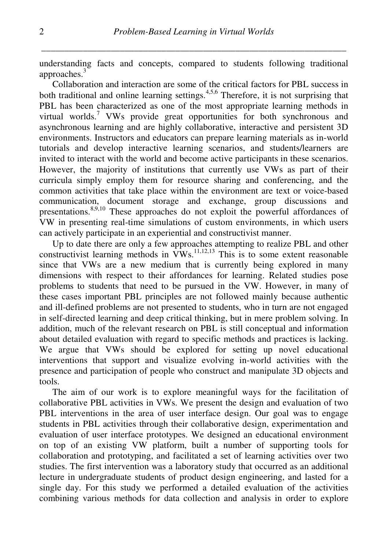understanding facts and concepts, compared to students following traditional approaches.<sup>3</sup>

Collaboration and interaction are some of the critical factors for PBL success in both traditional and online learning settings. $4,5,6$  Therefore, it is not surprising that PBL has been characterized as one of the most appropriate learning methods in virtual worlds.<sup>7</sup> VWs provide great opportunities for both synchronous and asynchronous learning and are highly collaborative, interactive and persistent 3D environments. Instructors and educators can prepare learning materials as in-world tutorials and develop interactive learning scenarios, and students/learners are invited to interact with the world and become active participants in these scenarios. However, the majority of institutions that currently use VWs as part of their curricula simply employ them for resource sharing and conferencing, and the common activities that take place within the environment are text or voice-based communication, document storage and exchange, group discussions and presentations.8,9,10 These approaches do not exploit the powerful affordances of VW in presenting real-time simulations of custom environments, in which users can actively participate in an experiential and constructivist manner.

Up to date there are only a few approaches attempting to realize PBL and other constructivist learning methods in  $VWs$ ,  $^{11,12,13}$  This is to some extent reasonable since that VWs are a new medium that is currently being explored in many dimensions with respect to their affordances for learning. Related studies pose problems to students that need to be pursued in the VW. However, in many of these cases important PBL principles are not followed mainly because authentic and ill-defined problems are not presented to students, who in turn are not engaged in self-directed learning and deep critical thinking, but in mere problem solving. In addition, much of the relevant research on PBL is still conceptual and information about detailed evaluation with regard to specific methods and practices is lacking. We argue that VWs should be explored for setting up novel educational interventions that support and visualize evolving in-world activities with the presence and participation of people who construct and manipulate 3D objects and tools.

The aim of our work is to explore meaningful ways for the facilitation of collaborative PBL activities in VWs. We present the design and evaluation of two PBL interventions in the area of user interface design. Our goal was to engage students in PBL activities through their collaborative design, experimentation and evaluation of user interface prototypes. We designed an educational environment on top of an existing VW platform, built a number of supporting tools for collaboration and prototyping, and facilitated a set of learning activities over two studies. The first intervention was a laboratory study that occurred as an additional lecture in undergraduate students of product design engineering, and lasted for a single day. For this study we performed a detailed evaluation of the activities combining various methods for data collection and analysis in order to explore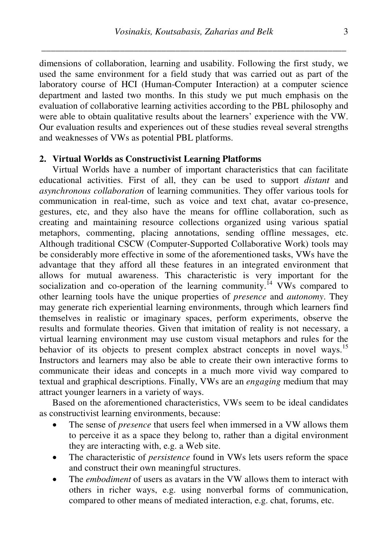dimensions of collaboration, learning and usability. Following the first study, we used the same environment for a field study that was carried out as part of the laboratory course of HCI (Human-Computer Interaction) at a computer science department and lasted two months. In this study we put much emphasis on the evaluation of collaborative learning activities according to the PBL philosophy and were able to obtain qualitative results about the learners' experience with the VW. Our evaluation results and experiences out of these studies reveal several strengths and weaknesses of VWs as potential PBL platforms.

### **2. Virtual Worlds as Constructivist Learning Platforms**

Virtual Worlds have a number of important characteristics that can facilitate educational activities. First of all, they can be used to support *distant* and *asynchronous collaboration* of learning communities. They offer various tools for communication in real-time, such as voice and text chat, avatar co-presence, gestures, etc, and they also have the means for offline collaboration, such as creating and maintaining resource collections organized using various spatial metaphors, commenting, placing annotations, sending offline messages, etc. Although traditional CSCW (Computer-Supported Collaborative Work) tools may be considerably more effective in some of the aforementioned tasks, VWs have the advantage that they afford all these features in an integrated environment that allows for mutual awareness. This characteristic is very important for the socialization and co-operation of the learning community.<sup> $14$ </sup> VWs compared to other learning tools have the unique properties of *presence* and *autonomy*. They may generate rich experiential learning environments, through which learners find themselves in realistic or imaginary spaces, perform experiments, observe the results and formulate theories. Given that imitation of reality is not necessary, a virtual learning environment may use custom visual metaphors and rules for the behavior of its objects to present complex abstract concepts in novel ways.<sup>15</sup> Instructors and learners may also be able to create their own interactive forms to communicate their ideas and concepts in a much more vivid way compared to textual and graphical descriptions. Finally, VWs are an *engaging* medium that may attract younger learners in a variety of ways.

Based on the aforementioned characteristics, VWs seem to be ideal candidates as constructivist learning environments, because:

- The sense of *presence* that users feel when immersed in a VW allows them to perceive it as a space they belong to, rather than a digital environment they are interacting with, e.g. a Web site.
- The characteristic of *persistence* found in VWs lets users reform the space and construct their own meaningful structures.
- The *embodiment* of users as avatars in the VW allows them to interact with others in richer ways, e.g. using nonverbal forms of communication, compared to other means of mediated interaction, e.g. chat, forums, etc.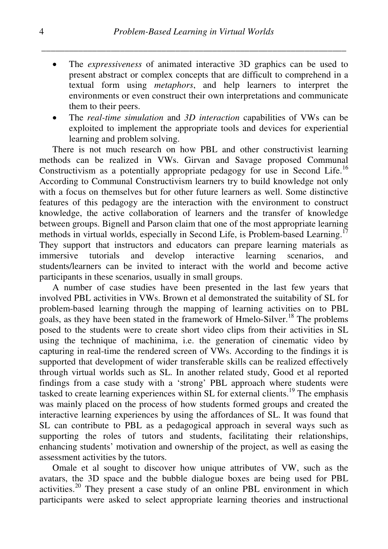- The *expressiveness* of animated interactive 3D graphics can be used to present abstract or complex concepts that are difficult to comprehend in a textual form using *metaphors*, and help learners to interpret the environments or even construct their own interpretations and communicate them to their peers.
- The *real-time simulation* and *3D interaction* capabilities of VWs can be exploited to implement the appropriate tools and devices for experiential learning and problem solving.

There is not much research on how PBL and other constructivist learning methods can be realized in VWs. Girvan and Savage proposed Communal Constructivism as a potentially appropriate pedagogy for use in Second Life.<sup>16</sup> According to Communal Constructivism learners try to build knowledge not only with a focus on themselves but for other future learners as well. Some distinctive features of this pedagogy are the interaction with the environment to construct knowledge, the active collaboration of learners and the transfer of knowledge between groups. Bignell and Parson claim that one of the most appropriate learning methods in virtual worlds, especially in Second Life, is Problem-based Learning.<sup>17</sup> They support that instructors and educators can prepare learning materials as immersive tutorials and develop interactive learning scenarios, and students/learners can be invited to interact with the world and become active participants in these scenarios, usually in small groups.

A number of case studies have been presented in the last few years that involved PBL activities in VWs. Brown et al demonstrated the suitability of SL for problem-based learning through the mapping of learning activities on to PBL goals, as they have been stated in the framework of Hmelo-Silver.<sup>18</sup> The problems posed to the students were to create short video clips from their activities in SL using the technique of machinima, i.e. the generation of cinematic video by capturing in real-time the rendered screen of VWs. According to the findings it is supported that development of wider transferable skills can be realized effectively through virtual worlds such as SL. In another related study, Good et al reported findings from a case study with a 'strong' PBL approach where students were tasked to create learning experiences within SL for external clients.<sup>19</sup> The emphasis was mainly placed on the process of how students formed groups and created the interactive learning experiences by using the affordances of SL. It was found that SL can contribute to PBL as a pedagogical approach in several ways such as supporting the roles of tutors and students, facilitating their relationships, enhancing students' motivation and ownership of the project, as well as easing the assessment activities by the tutors.

Omale et al sought to discover how unique attributes of VW, such as the avatars, the 3D space and the bubble dialogue boxes are being used for PBL activities.<sup>20</sup> They present a case study of an online PBL environment in which participants were asked to select appropriate learning theories and instructional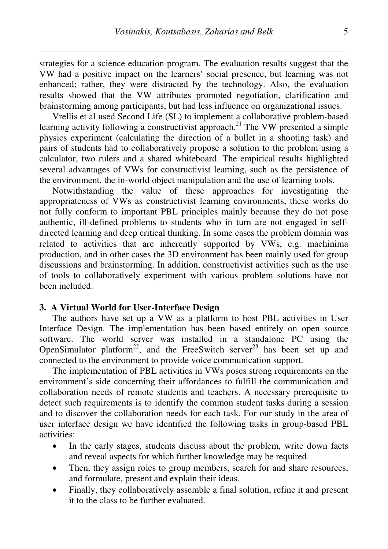strategies for a science education program. The evaluation results suggest that the VW had a positive impact on the learners' social presence, but learning was not enhanced; rather, they were distracted by the technology. Also, the evaluation results showed that the VW attributes promoted negotiation, clarification and brainstorming among participants, but had less influence on organizational issues.

Vrellis et al used Second Life (SL) to implement a collaborative problem-based learning activity following a constructivist approach.<sup>21</sup> The VW presented a simple physics experiment (calculating the direction of a bullet in a shooting task) and pairs of students had to collaboratively propose a solution to the problem using a calculator, two rulers and a shared whiteboard. The empirical results highlighted several advantages of VWs for constructivist learning, such as the persistence of the environment, the in-world object manipulation and the use of learning tools.

Notwithstanding the value of these approaches for investigating the appropriateness of VWs as constructivist learning environments, these works do not fully conform to important PBL principles mainly because they do not pose authentic, ill-defined problems to students who in turn are not engaged in selfdirected learning and deep critical thinking. In some cases the problem domain was related to activities that are inherently supported by VWs, e.g. machinima production, and in other cases the 3D environment has been mainly used for group discussions and brainstorming. In addition, constructivist activities such as the use of tools to collaboratively experiment with various problem solutions have not been included.

#### **3. A Virtual World for User-Interface Design**

The authors have set up a VW as a platform to host PBL activities in User Interface Design. The implementation has been based entirely on open source software. The world server was installed in a standalone PC using the OpenSimulator platform<sup>22</sup>, and the FreeSwitch server<sup>23</sup> has been set up and connected to the environment to provide voice communication support.

The implementation of PBL activities in VWs poses strong requirements on the environment's side concerning their affordances to fulfill the communication and collaboration needs of remote students and teachers. A necessary prerequisite to detect such requirements is to identify the common student tasks during a session and to discover the collaboration needs for each task. For our study in the area of user interface design we have identified the following tasks in group-based PBL activities:

- In the early stages, students discuss about the problem, write down facts and reveal aspects for which further knowledge may be required.
- Then, they assign roles to group members, search for and share resources, and formulate, present and explain their ideas.
- Finally, they collaboratively assemble a final solution, refine it and present it to the class to be further evaluated.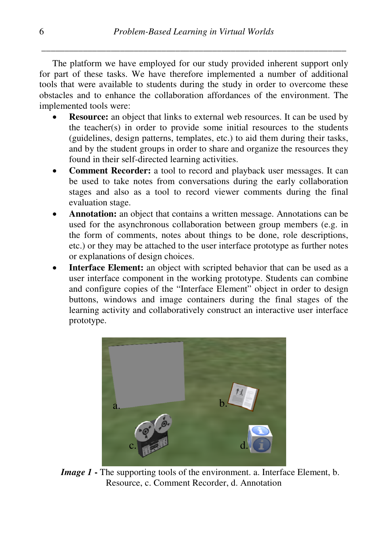The platform we have employed for our study provided inherent support only for part of these tasks. We have therefore implemented a number of additional tools that were available to students during the study in order to overcome these obstacles and to enhance the collaboration affordances of the environment. The implemented tools were:

- **Resource:** an object that links to external web resources. It can be used by the teacher(s) in order to provide some initial resources to the students (guidelines, design patterns, templates, etc.) to aid them during their tasks, and by the student groups in order to share and organize the resources they found in their self-directed learning activities.
- **Comment Recorder:** a tool to record and playback user messages. It can be used to take notes from conversations during the early collaboration stages and also as a tool to record viewer comments during the final evaluation stage.
- Annotation: an object that contains a written message. Annotations can be used for the asynchronous collaboration between group members (e.g. in the form of comments, notes about things to be done, role descriptions, etc.) or they may be attached to the user interface prototype as further notes or explanations of design choices.
- **Interface Element:** an object with scripted behavior that can be used as a user interface component in the working prototype. Students can combine and configure copies of the "Interface Element" object in order to design buttons, windows and image containers during the final stages of the learning activity and collaboratively construct an interactive user interface prototype.



*Image 1* **-** The supporting tools of the environment. a. Interface Element, b. Resource, c. Comment Recorder, d. Annotation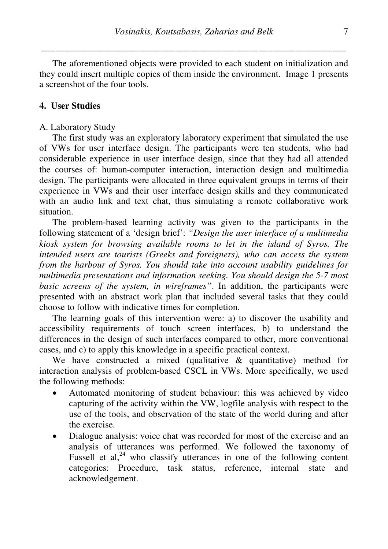The aforementioned objects were provided to each student on initialization and they could insert multiple copies of them inside the environment. Image 1 presents a screenshot of the four tools.

## **4. User Studies**

#### A. Laboratory Study

The first study was an exploratory laboratory experiment that simulated the use of VWs for user interface design. The participants were ten students, who had considerable experience in user interface design, since that they had all attended the courses of: human-computer interaction, interaction design and multimedia design. The participants were allocated in three equivalent groups in terms of their experience in VWs and their user interface design skills and they communicated with an audio link and text chat, thus simulating a remote collaborative work situation.

The problem-based learning activity was given to the participants in the following statement of a 'design brief': *"Design the user interface of a multimedia kiosk system for browsing available rooms to let in the island of Syros. The intended users are tourists (Greeks and foreigners), who can access the system from the harbour of Syros. You should take into account usability guidelines for multimedia presentations and information seeking. You should design the 5-7 most basic screens of the system, in wireframes"*. In addition, the participants were presented with an abstract work plan that included several tasks that they could choose to follow with indicative times for completion.

The learning goals of this intervention were: a) to discover the usability and accessibility requirements of touch screen interfaces, b) to understand the differences in the design of such interfaces compared to other, more conventional cases, and c) to apply this knowledge in a specific practical context.

We have constructed a mixed (qualitative & quantitative) method for interaction analysis of problem-based CSCL in VWs. More specifically, we used the following methods:

- Automated monitoring of student behaviour: this was achieved by video capturing of the activity within the VW, logfile analysis with respect to the use of the tools, and observation of the state of the world during and after the exercise.
- Dialogue analysis: voice chat was recorded for most of the exercise and an analysis of utterances was performed. We followed the taxonomy of Fussell et al, $^{24}$  who classify utterances in one of the following content categories: Procedure, task status, reference, internal state and acknowledgement.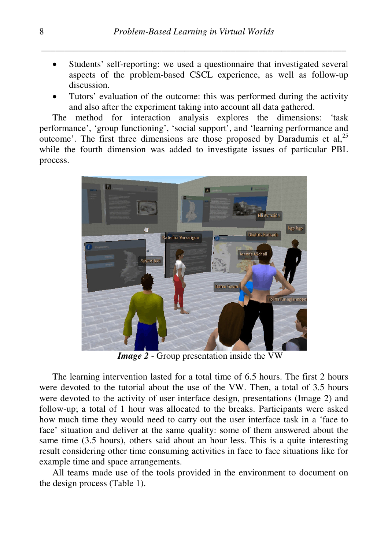- Students' self-reporting: we used a questionnaire that investigated several aspects of the problem-based CSCL experience, as well as follow-up discussion.
- Tutors' evaluation of the outcome: this was performed during the activity and also after the experiment taking into account all data gathered.

The method for interaction analysis explores the dimensions: 'task performance', 'group functioning', 'social support', and 'learning performance and performance', 'group functioning', 'social support', and 'learning performance and outcome'. The first three dimensions are those proposed by Daradumis et al,<sup>25</sup> while the fourth dimension was added to investigate issues of particular PBL process.



*Image 2* - Group presentation inside the VW

The learning intervention lasted for a total time of 6.5 hours. The first 2 hours were devoted to the tutorial about the use of the VW. Then, a total of 3.5 hours were devoted to the activity of user interface design, presentations (Image 2) and follow-up; a total of 1 hour was allocated to the breaks. Participants were asked how much time they would need to carry out the user interface task in a 'face to face' situation and deliver at the same quality: some of them answered about the same time (3.5 hours), others said about an hour less. This is a quite interesting result considering other time consuming activities in face to face situations like for example time and space arrangements. up; a total of 1 hour was allocated to the breaks. Part<br>uch time they would need to carry out the user interfac<br>tuation and deliver at the same quality: some of them<br>me (3.5 hours), others said about an hour less. This is<br>

All teams made use of the tools provided in the environment to document on the design process (Table 1).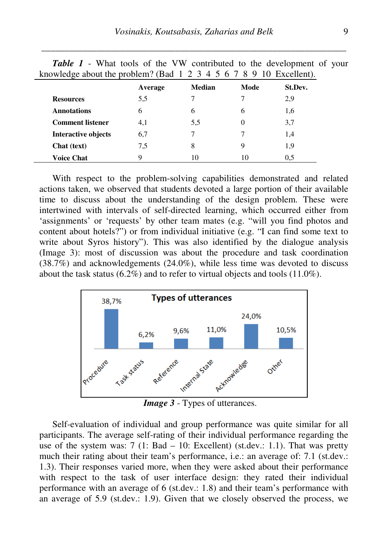| knowledge about the problem? (Bad $1\ 2\ 3\ 4\ 5\ 6\ 7\ 8\ 9\ 10\ 12$ Excellent). |         |               |          |         |  |
|-----------------------------------------------------------------------------------|---------|---------------|----------|---------|--|
|                                                                                   | Average | <b>Median</b> | Mode     | St.Dev. |  |
| <b>Resources</b>                                                                  | 5,5     |               |          | 2,9     |  |
| <b>Annotations</b>                                                                | 6       | 6             | 6        | 1,6     |  |
| <b>Comment listener</b>                                                           | 4,1     | 5.5           | $\Omega$ | 3,7     |  |
| <b>Interactive objects</b>                                                        | 6,7     |               |          | 1,4     |  |
| Chat (text)                                                                       | 7,5     | 8             | 9        | 1,9     |  |
| <b>Voice Chat</b>                                                                 | q       | 10            | 10       | 0.5     |  |

*Table 1* - What tools of the VW contributed to the development of your

With respect to the problem-solving capabilities demonstrated and related actions taken, we observed that students devoted a large portion of their available time to discuss about the understanding of the design problem. These were intertwined with intervals of self-directed learning, which occurred either from 'assignments' or 'requests' by other team mates (e.g. "will you find photos and content about hotels?") or from individual initiative (e.g. "I can find some text to write about Syros history"). This was also identified by the dialogue analysis (Image 3): most of discussion was about the procedure and task coordination (38.7%) and acknowledgements (24.0%), while less time was devoted to discuss about the task status (6.2%) and to refer to virtual objects and tools (11.0%).



*Image 3* - Types of utterances.

Self-evaluation of individual and group performance was quite similar for all participants. The average self-rating of their individual performance regarding the use of the system was:  $7$  (1: Bad – 10: Excellent) (st.dev.: 1.1). That was pretty much their rating about their team's performance, i.e.: an average of: 7.1 (st.dev.: 1.3). Their responses varied more, when they were asked about their performance with respect to the task of user interface design: they rated their individual performance with an average of 6 (st.dev.: 1.8) and their team's performance with an average of 5.9 (st.dev.: 1.9). Given that we closely observed the process, we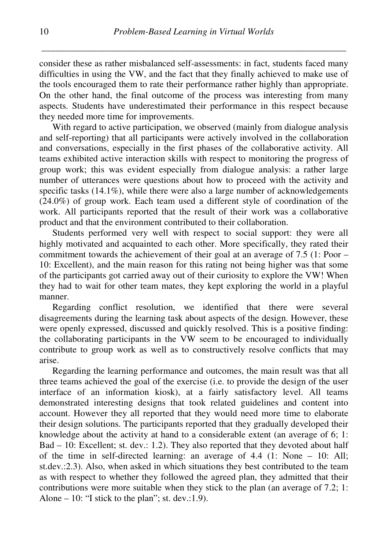consider these as rather misbalanced self-assessments: in fact, students faced many difficulties in using the VW, and the fact that they finally achieved to make use of the tools encouraged them to rate their performance rather highly than appropriate. On the other hand, the final outcome of the process was interesting from many aspects. Students have underestimated their performance in this respect because they needed more time for improvements.

With regard to active participation, we observed (mainly from dialogue analysis and self-reporting) that all participants were actively involved in the collaboration and conversations, especially in the first phases of the collaborative activity. All teams exhibited active interaction skills with respect to monitoring the progress of group work; this was evident especially from dialogue analysis: a rather large number of utterances were questions about how to proceed with the activity and specific tasks (14.1%), while there were also a large number of acknowledgements (24.0%) of group work. Each team used a different style of coordination of the work. All participants reported that the result of their work was a collaborative product and that the environment contributed to their collaboration.

Students performed very well with respect to social support: they were all highly motivated and acquainted to each other. More specifically, they rated their commitment towards the achievement of their goal at an average of 7.5 (1: Poor – 10: Excellent), and the main reason for this rating not being higher was that some of the participants got carried away out of their curiosity to explore the VW! When they had to wait for other team mates, they kept exploring the world in a playful manner.

Regarding conflict resolution, we identified that there were several disagreements during the learning task about aspects of the design. However, these were openly expressed, discussed and quickly resolved. This is a positive finding: the collaborating participants in the VW seem to be encouraged to individually contribute to group work as well as to constructively resolve conflicts that may arise.

Regarding the learning performance and outcomes, the main result was that all three teams achieved the goal of the exercise (i.e. to provide the design of the user interface of an information kiosk), at a fairly satisfactory level. All teams demonstrated interesting designs that took related guidelines and content into account. However they all reported that they would need more time to elaborate their design solutions. The participants reported that they gradually developed their knowledge about the activity at hand to a considerable extent (an average of 6; 1: Bad – 10: Excellent; st. dev.: 1.2). They also reported that they devoted about half of the time in self-directed learning: an average of 4.4 (1: None – 10: All; st.dev.:2.3). Also, when asked in which situations they best contributed to the team as with respect to whether they followed the agreed plan, they admitted that their contributions were more suitable when they stick to the plan (an average of 7.2; 1: Alone  $-10$ : "I stick to the plan"; st. dev.:1.9).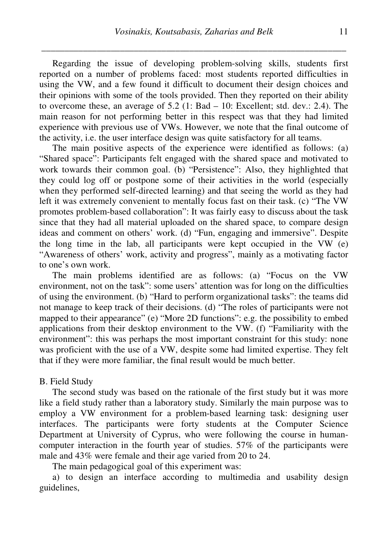Regarding the issue of developing problem-solving skills, students first reported on a number of problems faced: most students reported difficulties in using the VW, and a few found it difficult to document their design choices and their opinions with some of the tools provided. Then they reported on their ability to overcome these, an average of  $5.2$  (1: Bad – 10: Excellent; std. dev.: 2.4). The main reason for not performing better in this respect was that they had limited experience with previous use of VWs. However, we note that the final outcome of the activity, i.e. the user interface design was quite satisfactory for all teams.

The main positive aspects of the experience were identified as follows: (a) "Shared space": Participants felt engaged with the shared space and motivated to work towards their common goal. (b) "Persistence": Also, they highlighted that they could log off or postpone some of their activities in the world (especially when they performed self-directed learning) and that seeing the world as they had left it was extremely convenient to mentally focus fast on their task. (c) "The VW promotes problem-based collaboration": It was fairly easy to discuss about the task since that they had all material uploaded on the shared space, to compare design ideas and comment on others' work. (d) "Fun, engaging and immersive". Despite the long time in the lab, all participants were kept occupied in the  $VW(e)$ "Awareness of others' work, activity and progress", mainly as a motivating factor to one's own work.

The main problems identified are as follows: (a) "Focus on the VW environment, not on the task": some users' attention was for long on the difficulties of using the environment. (b) "Hard to perform organizational tasks": the teams did not manage to keep track of their decisions. (d) "The roles of participants were not mapped to their appearance" (e) "More 2D functions": e.g. the possibility to embed applications from their desktop environment to the VW. (f) "Familiarity with the environment": this was perhaps the most important constraint for this study: none was proficient with the use of a VW, despite some had limited expertise. They felt that if they were more familiar, the final result would be much better.

#### B. Field Study

The second study was based on the rationale of the first study but it was more like a field study rather than a laboratory study. Similarly the main purpose was to employ a VW environment for a problem-based learning task: designing user interfaces. The participants were forty students at the Computer Science Department at University of Cyprus, who were following the course in humancomputer interaction in the fourth year of studies. 57% of the participants were male and 43% were female and their age varied from 20 to 24.

The main pedagogical goal of this experiment was:

a) to design an interface according to multimedia and usability design guidelines,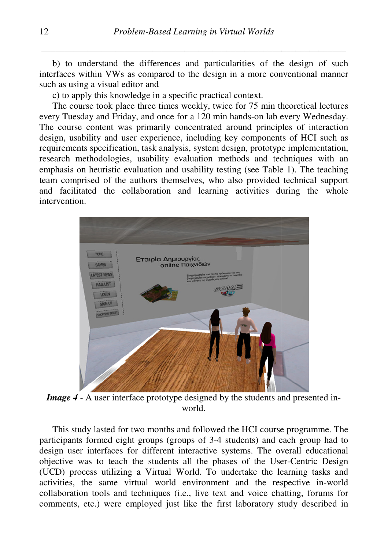b) to understand the differences and particularities of the design of such interfaces within VWs as compared to the design in a more conventional manner such as using a visual editor and

c) to apply this knowledge in a specific practical context.

The course took place three times weekly, twice for 75 min theoretical lectures every Tuesday and Friday, and once for a 120 min hands-on lab every Wednesday. The course content was primarily concentrated around principles of interaction design, usability and user experience, including key components of HCI such as requirements specification, task analysis, system design, prototype implementation, research methodologies, usability evaluation methods and techniques with an emphasis on heuristic evaluation and usability testing (see Table 1). The teaching team comprised of the authors themselves, who also provided technical support and facilitated the collaboration and learning activities during the whole intervention.



*Image 4* - A user interface prototype designed by the students and presented inworld.

This study lasted for two months and followed the HCI course programme. The participants formed eight groups (groups of 3-4 students) and each group had to design user interfaces for different interactive systems. The overall educational participants formed eight groups (groups of 3-4 students) and each group had to design user interfaces for different interactive systems. The overall educational objective was to teach the students all the phases of the Us (UCD) process utilizing a Virtual World. To undertake the learning tasks and activities, the same virtual world environment and the respective in-world collaboration tools and techniques (i.e., live text and voice chatting, forums for comments, etc.) were employed just like the first laboratory study described in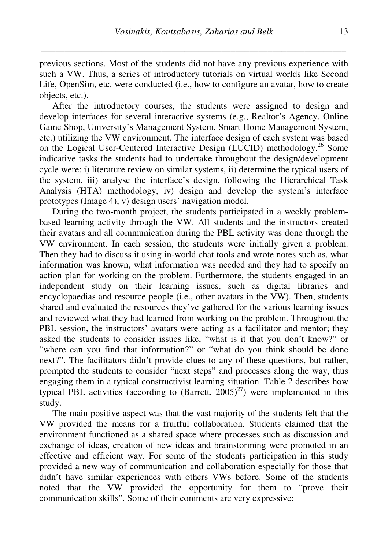previous sections. Most of the students did not have any previous experience with such a VW. Thus, a series of introductory tutorials on virtual worlds like Second Life, OpenSim, etc. were conducted (i.e., how to configure an avatar, how to create objects, etc.).

After the introductory courses, the students were assigned to design and develop interfaces for several interactive systems (e.g., Realtor's Agency, Online Game Shop, University's Management System, Smart Home Management System, etc.) utilizing the VW environment. The interface design of each system was based on the Logical User-Centered Interactive Design (LUCID) methodology.<sup>26</sup> Some indicative tasks the students had to undertake throughout the design/development cycle were: i) literature review on similar systems, ii) determine the typical users of the system, iii) analyse the interface's design, following the Hierarchical Task Analysis (HTA) methodology, iv) design and develop the system's interface prototypes (Image 4), v) design users' navigation model.

During the two-month project, the students participated in a weekly problembased learning activity through the VW. All students and the instructors created their avatars and all communication during the PBL activity was done through the VW environment. In each session, the students were initially given a problem. Then they had to discuss it using in-world chat tools and wrote notes such as, what information was known, what information was needed and they had to specify an action plan for working on the problem. Furthermore, the students engaged in an independent study on their learning issues, such as digital libraries and encyclopaedias and resource people (i.e., other avatars in the VW). Then, students shared and evaluated the resources they've gathered for the various learning issues and reviewed what they had learned from working on the problem. Throughout the PBL session, the instructors' avatars were acting as a facilitator and mentor; they asked the students to consider issues like, "what is it that you don't know?" or "where can you find that information?" or "what do you think should be done next?". The facilitators didn't provide clues to any of these questions, but rather, prompted the students to consider "next steps" and processes along the way, thus engaging them in a typical constructivist learning situation. Table 2 describes how typical PBL activities (according to  $(Barrett, 2005)^{27}$ ) were implemented in this study.

The main positive aspect was that the vast majority of the students felt that the VW provided the means for a fruitful collaboration. Students claimed that the environment functioned as a shared space where processes such as discussion and exchange of ideas, creation of new ideas and brainstorming were promoted in an effective and efficient way. For some of the students participation in this study provided a new way of communication and collaboration especially for those that didn't have similar experiences with others VWs before. Some of the students noted that the VW provided the opportunity for them to "prove their communication skills". Some of their comments are very expressive: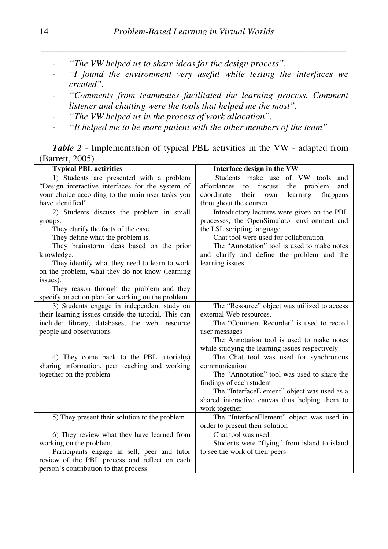- *"The VW helped us to share ideas for the design process".*
- *"I found the environment very useful while testing the interfaces we created".*
- *"Comments from teammates facilitated the learning process. Comment listener and chatting were the tools that helped me the most".*
- *"The VW helped us in the process of work allocation".*
- *"It helped me to be more patient with the other members of the team"*

## *Table 2* - Implementation of typical PBL activities in the VW - adapted from (Barrett, 2005)

| <b>Typical PBL activities</b>                        | Interface design in the VW                            |  |  |
|------------------------------------------------------|-------------------------------------------------------|--|--|
| 1) Students are presented with a problem             | Students make use<br>of VW tools<br>and               |  |  |
| "Design interactive interfaces for the system of     | discuss<br>affordances<br>the<br>problem<br>to<br>and |  |  |
| your choice according to the main user tasks you     | coordinate<br>learning<br>(happens)<br>their<br>own   |  |  |
| have identified"                                     | throughout the course).                               |  |  |
| 2) Students discuss the problem in small             | Introductory lectures were given on the PBL           |  |  |
| groups.                                              | processes, the OpenSimulator environment and          |  |  |
| They clarify the facts of the case.                  | the LSL scripting language                            |  |  |
| They define what the problem is.                     | Chat tool were used for collaboration                 |  |  |
| They brainstorm ideas based on the prior             | The "Annotation" tool is used to make notes           |  |  |
| knowledge.                                           | and clarify and define the problem and the            |  |  |
| They identify what they need to learn to work        | learning issues                                       |  |  |
| on the problem, what they do not know (learning      |                                                       |  |  |
| issues).                                             |                                                       |  |  |
| They reason through the problem and they             |                                                       |  |  |
| specify an action plan for working on the problem    |                                                       |  |  |
| 3) Students engage in independent study on           | The "Resource" object was utilized to access          |  |  |
| their learning issues outside the tutorial. This can | external Web resources.                               |  |  |
| include: library, databases, the web, resource       | The "Comment Recorder" is used to record              |  |  |
| people and observations                              | user messages                                         |  |  |
|                                                      | The Annotation tool is used to make notes             |  |  |
|                                                      | while studying the learning issues respectively       |  |  |
| 4) They come back to the PBL tutorial(s)             | The Chat tool was used for synchronous                |  |  |
| sharing information, peer teaching and working       | communication                                         |  |  |
| together on the problem                              | The "Annotation" tool was used to share the           |  |  |
|                                                      | findings of each student                              |  |  |
|                                                      | The "InterfaceElement" object was used as a           |  |  |
|                                                      | shared interactive canvas thus helping them to        |  |  |
|                                                      | work together                                         |  |  |
| 5) They present their solution to the problem        | The "InterfaceElement" object was used in             |  |  |
|                                                      | order to present their solution                       |  |  |
| 6) They review what they have learned from           | Chat tool was used                                    |  |  |
| working on the problem.                              | Students were "flying" from island to island          |  |  |
| Participants engage in self, peer and tutor          | to see the work of their peers                        |  |  |
| review of the PBL process and reflect on each        |                                                       |  |  |
| person's contribution to that process                |                                                       |  |  |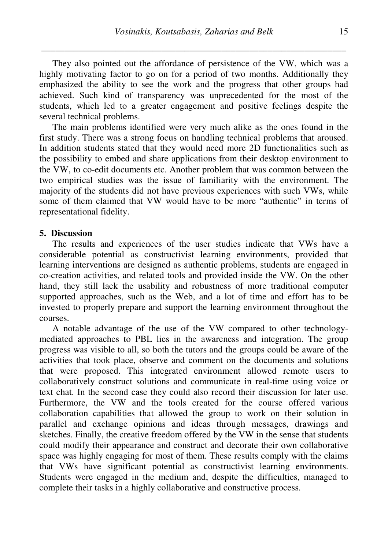They also pointed out the affordance of persistence of the VW, which was a highly motivating factor to go on for a period of two months. Additionally they emphasized the ability to see the work and the progress that other groups had achieved. Such kind of transparency was unprecedented for the most of the students, which led to a greater engagement and positive feelings despite the several technical problems.

The main problems identified were very much alike as the ones found in the first study. There was a strong focus on handling technical problems that aroused. In addition students stated that they would need more 2D functionalities such as the possibility to embed and share applications from their desktop environment to the VW, to co-edit documents etc. Another problem that was common between the two empirical studies was the issue of familiarity with the environment. The majority of the students did not have previous experiences with such VWs, while some of them claimed that VW would have to be more "authentic" in terms of representational fidelity.

## **5. Discussion**

The results and experiences of the user studies indicate that VWs have a considerable potential as constructivist learning environments, provided that learning interventions are designed as authentic problems, students are engaged in co-creation activities, and related tools and provided inside the VW. On the other hand, they still lack the usability and robustness of more traditional computer supported approaches, such as the Web, and a lot of time and effort has to be invested to properly prepare and support the learning environment throughout the courses.

A notable advantage of the use of the VW compared to other technologymediated approaches to PBL lies in the awareness and integration. The group progress was visible to all, so both the tutors and the groups could be aware of the activities that took place, observe and comment on the documents and solutions that were proposed. This integrated environment allowed remote users to collaboratively construct solutions and communicate in real-time using voice or text chat. In the second case they could also record their discussion for later use. Furthermore, the VW and the tools created for the course offered various collaboration capabilities that allowed the group to work on their solution in parallel and exchange opinions and ideas through messages, drawings and sketches. Finally, the creative freedom offered by the VW in the sense that students could modify their appearance and construct and decorate their own collaborative space was highly engaging for most of them. These results comply with the claims that VWs have significant potential as constructivist learning environments. Students were engaged in the medium and, despite the difficulties, managed to complete their tasks in a highly collaborative and constructive process.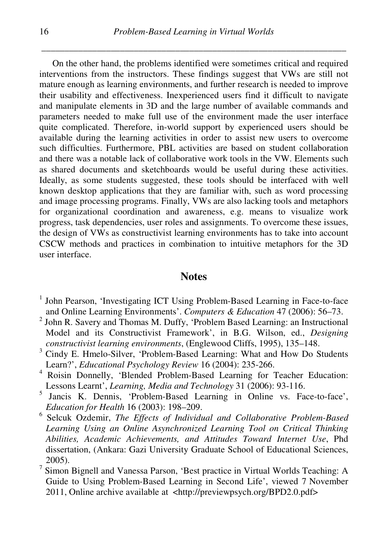On the other hand, the problems identified were sometimes critical and required interventions from the instructors. These findings suggest that VWs are still not mature enough as learning environments, and further research is needed to improve their usability and effectiveness. Inexperienced users find it difficult to navigate and manipulate elements in 3D and the large number of available commands and parameters needed to make full use of the environment made the user interface quite complicated. Therefore, in-world support by experienced users should be available during the learning activities in order to assist new users to overcome such difficulties. Furthermore, PBL activities are based on student collaboration and there was a notable lack of collaborative work tools in the VW. Elements such as shared documents and sketchboards would be useful during these activities. Ideally, as some students suggested, these tools should be interfaced with well known desktop applications that they are familiar with, such as word processing and image processing programs. Finally, VWs are also lacking tools and metaphors for organizational coordination and awareness, e.g. means to visualize work progress, task dependencies, user roles and assignments. To overcome these issues, the design of VWs as constructivist learning environments has to take into account CSCW methods and practices in combination to intuitive metaphors for the 3D user interface.

## **Notes**

- <sup>1</sup> John Pearson, 'Investigating ICT Using Problem-Based Learning in Face-to-face and Online Learning Environments'. *Computers & Education* 47 (2006): 56–73.
- <sup>2</sup> John R. Savery and Thomas M. Duffy, 'Problem Based Learning: an Instructional Model and its Constructivist Framework', in B.G. Wilson, ed., *Designing constructivist learning environments*, (Englewood Cliffs, 1995), 135–148.
- <sup>3</sup> Cindy E. Hmelo-Silver, 'Problem-Based Learning: What and How Do Students Learn?', *Educational Psychology Review* 16 (2004): 235-266.
- 4 Roisin Donnelly, 'Blended Problem-Based Learning for Teacher Education: Lessons Learnt', *Learning, Media and Technology* 31 (2006): 93-116.
- <sup>5</sup> Jancis K. Dennis, 'Problem-Based Learning in Online vs. Face-to-face', *Education for Health* 16 (2003): 198–209.
- 6 Selcuk Ozdemir, *The Effects of Individual and Collaborative Problem-Based Learning Using an Online Asynchronized Learning Tool on Critical Thinking Abilities, Academic Achievements, and Attitudes Toward Internet Use*, Phd dissertation, (Ankara: Gazi University Graduate School of Educational Sciences, 2005).
- 7 Simon Bignell and Vanessa Parson, 'Best practice in Virtual Worlds Teaching: A Guide to Using Problem-Based Learning in Second Life', viewed 7 November 2011, Online archive available at <http://previewpsych.org/BPD2.0.pdf>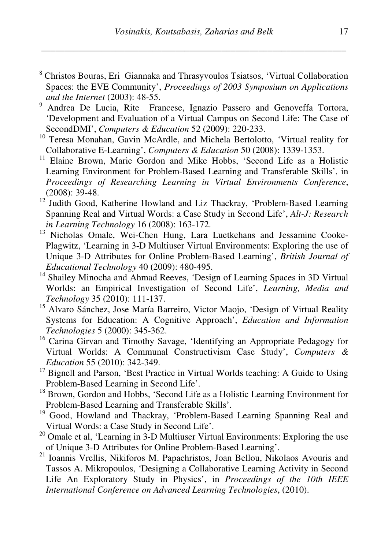- <sup>8</sup> Christos Bouras, Eri Giannaka and Thrasyvoulos Tsiatsos, 'Virtual Collaboration Spaces: the EVE Community', *Proceedings of 2003 Symposium on Applications and the Internet* (2003): 48-55.
- <sup>9</sup> Andrea De Lucia, Rite Francese, Ignazio Passero and Genoveffa Tortora, 'Development and Evaluation of a Virtual Campus on Second Life: The Case of SecondDMI', *Computers & Education* 52 (2009): 220-233.
- <sup>10</sup> Teresa Monahan. Gavin McArdle, and Michela Bertolotto, 'Virtual reality for Collaborative E-Learning', *Computers & Education* 50 (2008): 1339-1353.
- <sup>11</sup> Elaine Brown, Marie Gordon and Mike Hobbs, 'Second Life as a Holistic Learning Environment for Problem-Based Learning and Transferable Skills', in *Proceedings of Researching Learning in Virtual Environments Conference*, (2008): 39-48.
- <sup>12</sup> Judith Good, Katherine Howland and Liz Thackray, 'Problem-Based Learning Spanning Real and Virtual Words: a Case Study in Second Life', *Alt-J: Research in Learning Technology* 16 (2008): 163-172.
- <sup>13</sup> Nicholas Omale, Wei-Chen Hung, Lara Luetkehans and Jessamine Cooke-Plagwitz, 'Learning in 3-D Multiuser Virtual Environments: Exploring the use of Unique 3-D Attributes for Online Problem-Based Learning', *British Journal of Educational Technology* 40 (2009): 480-495.
- <sup>14</sup> Shailey Minocha and Ahmad Reeves, 'Design of Learning Spaces in 3D Virtual Worlds: an Empirical Investigation of Second Life', *Learning, Media and Technology* 35 (2010): 111-137.
- <sup>15</sup> Alvaro Sánchez, Jose María Barreiro, Victor Maojo, 'Design of Virtual Reality Systems for Education: A Cognitive Approach', *Education and Information Technologies* 5 (2000): 345-362.
- <sup>16</sup> Carina Girvan and Timothy Savage, 'Identifying an Appropriate Pedagogy for Virtual Worlds: A Communal Constructivism Case Study', *Computers & Education* 55 (2010): 342-349.
- <sup>17</sup> Bignell and Parson, 'Best Practice in Virtual Worlds teaching: A Guide to Using Problem-Based Learning in Second Life'.
- <sup>18</sup> Brown, Gordon and Hobbs, 'Second Life as a Holistic Learning Environment for Problem-Based Learning and Transferable Skills'.
- <sup>19</sup> Good, Howland and Thackray, 'Problem-Based Learning Spanning Real and Virtual Words: a Case Study in Second Life'.
- $20$  Omale et al, 'Learning in 3-D Multiuser Virtual Environments: Exploring the use of Unique 3-D Attributes for Online Problem-Based Learning'.
- <sup>21</sup> Ioannis Vrellis, Nikiforos M. Papachristos, Joan Bellou, Nikolaos Avouris and Tassos A. Mikropoulos, 'Designing a Collaborative Learning Activity in Second Life An Exploratory Study in Physics', in *Proceedings of the 10th IEEE International Conference on Advanced Learning Technologies*, (2010).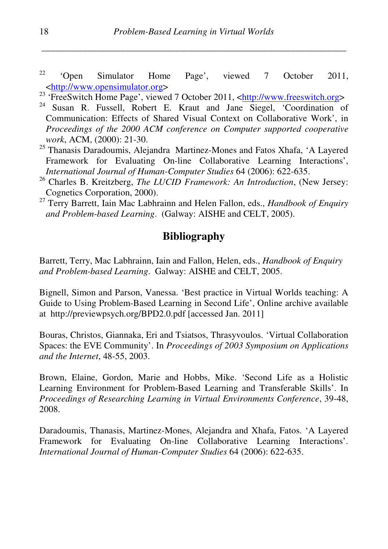$2^2$  'Open Simulator Home Page', viewed 7 October 2011, <http://www.opensimulator.org>

<sup>23</sup> 'FreeSwitch Home Page', viewed 7 October 2011, <http://www.freeswitch.org>

- <sup>24</sup> Susan R. Fussell, Robert E. Kraut and Jane Siegel, 'Coordination of Communication: Effects of Shared Visual Context on Collaborative Work', in *Proceedings of the 2000 ACM conference on Computer supported cooperative work*, ACM, (2000): 21-30.
- <sup>25</sup> Thanasis Daradoumis, Alejandra Martinez-Mones and Fatos Xhafa, 'A Layered Framework for Evaluating On-line Collaborative Learning Interactions', *International Journal of Human-Computer Studies* 64 (2006): 622-635.
- <sup>26</sup> Charles B. Kreitzberg, *The LUCID Framework: An Introduction*, (New Jersey: Cognetics Corporation, 2000).
- <sup>27</sup> Terry Barrett, Iain Mac Labhrainn and Helen Fallon, eds., *Handbook of Enquiry and Problem-based Learning*. (Galway: AISHE and CELT, 2005).

# **Bibliography**

Barrett, Terry, Mac Labhrainn, Iain and Fallon, Helen, eds., *Handbook of Enquiry and Problem-based Learning*. Galway: AISHE and CELT, 2005.

Bignell, Simon and Parson, Vanessa. 'Best practice in Virtual Worlds teaching: A Guide to Using Problem-Based Learning in Second Life', Online archive available at http://previewpsych.org/BPD2.0.pdf [accessed Jan. 2011]

Bouras, Christos, Giannaka, Eri and Tsiatsos, Thrasyvoulos. 'Virtual Collaboration Spaces: the EVE Community'. In *Proceedings of 2003 Symposium on Applications and the Internet*, 48-55, 2003.

Brown, Elaine, Gordon, Marie and Hobbs, Mike. 'Second Life as a Holistic Learning Environment for Problem-Based Learning and Transferable Skills'. In *Proceedings of Researching Learning in Virtual Environments Conference*, 39-48, 2008.

Daradoumis, Thanasis, Martinez-Mones, Alejandra and Xhafa, Fatos. 'A Layered Framework for Evaluating On-line Collaborative Learning Interactions'. *International Journal of Human-Computer Studies* 64 (2006): 622-635.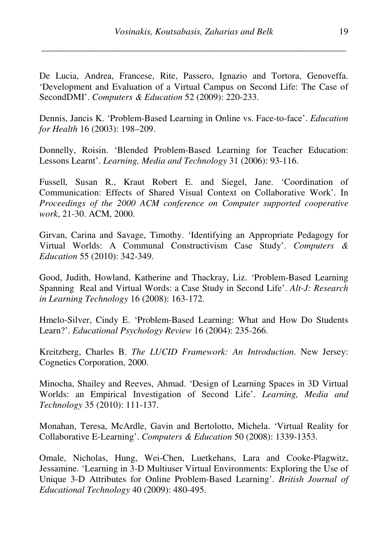De Lucia, Andrea, Francese, Rite, Passero, Ignazio and Tortora, Genoveffa. 'Development and Evaluation of a Virtual Campus on Second Life: The Case of SecondDMI'. *Computers & Education* 52 (2009): 220-233.

Dennis, Jancis K. 'Problem-Based Learning in Online vs. Face-to-face'. *Education for Health* 16 (2003): 198–209.

Donnelly, Roisin. 'Blended Problem-Based Learning for Teacher Education: Lessons Learnt'. *Learning, Media and Technology* 31 (2006): 93-116.

Fussell, Susan R., Kraut Robert E. and Siegel, Jane. 'Coordination of Communication: Effects of Shared Visual Context on Collaborative Work'. In *Proceedings of the 2000 ACM conference on Computer supported cooperative work*, 21-30. ACM, 2000.

Girvan, Carina and Savage, Timothy. 'Identifying an Appropriate Pedagogy for Virtual Worlds: A Communal Constructivism Case Study'. *Computers & Education* 55 (2010): 342-349.

Good, Judith, Howland, Katherine and Thackray, Liz. 'Problem-Based Learning Spanning Real and Virtual Words: a Case Study in Second Life'. *Alt-J: Research in Learning Technology* 16 (2008): 163-172.

Hmelo-Silver, Cindy E. 'Problem-Based Learning: What and How Do Students Learn?'. *Educational Psychology Review* 16 (2004): 235-266.

Kreitzberg, Charles B. *The LUCID Framework: An Introduction*. New Jersey: Cognetics Corporation, 2000.

Minocha, Shailey and Reeves, Ahmad. 'Design of Learning Spaces in 3D Virtual Worlds: an Empirical Investigation of Second Life'. *Learning, Media and Technology* 35 (2010): 111-137.

Monahan, Teresa, McArdle, Gavin and Bertolotto, Michela. 'Virtual Reality for Collaborative E-Learning'. *Computers & Education* 50 (2008): 1339-1353.

Omale, Nicholas, Hung, Wei-Chen, Luetkehans, Lara and Cooke-Plagwitz, Jessamine. 'Learning in 3-D Multiuser Virtual Environments: Exploring the Use of Unique 3-D Attributes for Online Problem-Based Learning'. *British Journal of Educational Technology* 40 (2009): 480-495.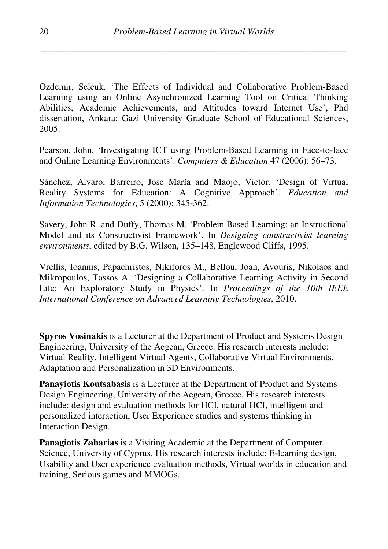Ozdemir, Selcuk. 'The Effects of Individual and Collaborative Problem-Based Learning using an Online Asynchronized Learning Tool on Critical Thinking Abilities, Academic Achievements, and Attitudes toward Internet Use', Phd dissertation, Ankara: Gazi University Graduate School of Educational Sciences, 2005.

Pearson, John. 'Investigating ICT using Problem-Based Learning in Face-to-face and Online Learning Environments'. *Computers & Education* 47 (2006): 56–73.

Sánchez, Alvaro, Barreiro, Jose María and Maojo, Victor. 'Design of Virtual Reality Systems for Education: A Cognitive Approach'. *Education and Information Technologies*, 5 (2000): 345-362.

Savery, John R. and Duffy, Thomas M. 'Problem Based Learning: an Instructional Model and its Constructivist Framework'. In *Designing constructivist learning environments*, edited by B.G. Wilson, 135–148, Englewood Cliffs, 1995.

Vrellis, Ioannis, Papachristos, Nikiforos M., Bellou, Joan, Avouris, Nikolaos and Mikropoulos, Tassos A. 'Designing a Collaborative Learning Activity in Second Life: An Exploratory Study in Physics'. In *Proceedings of the 10th IEEE International Conference on Advanced Learning Technologies*, 2010.

**Spyros Vosinakis** is a Lecturer at the Department of Product and Systems Design Engineering, University of the Aegean, Greece. His research interests include: Virtual Reality, Intelligent Virtual Agents, Collaborative Virtual Environments, Adaptation and Personalization in 3D Environments.

**Panayiotis Koutsabasis** is a Lecturer at the Department of Product and Systems Design Engineering, University of the Aegean, Greece. His research interests include: design and evaluation methods for HCI, natural HCI, intelligent and personalized interaction, User Experience studies and systems thinking in Interaction Design.

**Panagiotis Zaharias** is a Visiting Academic at the Department of Computer Science, University of Cyprus. His research interests include: E-learning design, Usability and User experience evaluation methods, Virtual worlds in education and training, Serious games and MMOGs.